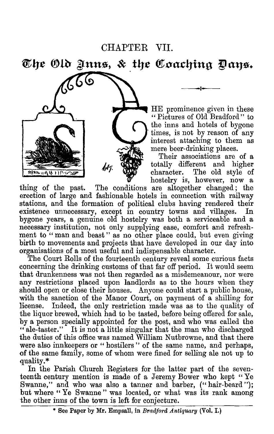## CHAPTER VII.

The **Old Inns, &** the Coaching Days.



HE prominence given in these " Pictures of Old Bradford" to the inns and hotels of bygone times, is not by reason of any interest attaching to them as mere beer-drinking places.

Their associations are of a totally different and higher The old style of hostelry is, however, now a

thing of the past. The conditions are altogether changed ; the erection of large and fashionable hotels in connection with railway stations, and the formation of political clubs having rendered their existence unnecessary, except in country towns and villages. In bygone years, a genuine old hostelry was both a serviceable and a necessary institution, not only supplying ease, comfort and refreshment to " man and beast" as no other place could, but even giving birth to movements and projects that have developed in our day into organisations of a most useful and indispensable character.

The Court Rolls of the fourteenth century reveal some curious facts concerning the drinking customs of that far off period. It would seem that drunkenness was not then regarded as a misdemeanour, nor were any restrictions placed upon landlords as to the hours when they should open or close their houses. Anyone could start a public house. with the sanction of the Manor Court, on payment of a shilling for license. Indeed, the only restriction made was as to the quality of the liquor brewed, which had to be tasted, before being offered for sale, by a person specially appointed for the post, and who was called the " ale-taster." It is not a little singular that the man who discharged the duties of this office was named William Nutbrowne, and that there were also innkeepers or " hostilers" of the same name, and perhaps, of the same family, some of whom were fined for selling ale not up to quality.\*

In the Parish Church Registers for the latter part of the seventeenth century mention is made of a Jeremy Bower who kept " Ye Swanne," and who was also a tanner and barber, (" hair-beard "); but where " Ye Swanne " was located, or what was its rank among the other inns of the town is left for conjecture.

<sup>\*</sup> **See Paper** by Mr. Empsall, in *Bradford Antiquary* (Vol. I.)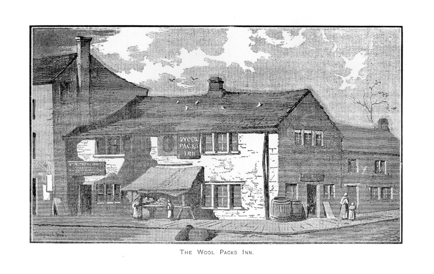

THE WOOL PACKS INN.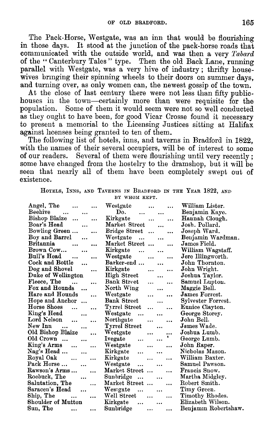OF OLD BRADFORD.<br>gate, was an inn t The Pack-Horse, Westgate, was an inn that would be flourishing in those days. It stood at the junction of the pack-horse roads that communicated with the outside world, and was then a very *Tabard* of the " Canterbury Tales " type. Then the old Back Lane, running parallel with Westgate, was a very hive of industry; thrifty housewives bringing their spinning wheels to their doors on summer days. and turning over, as only women can, the newest gossip of the town.

At the close of last century there were not less than fifty publichouses in the town—certainly more than were requisite for the population. Some of them it would seem were not so well conducted as they ought to have been, for good Vicar Crosse found it necessary to present a memorial to the Licensing Justices sitting at Halifax against licenses being granted to ten of them.

The following list of hotels, inns, and taverns in Bradford in 1822. with the names of their several occupiers, will be of interest to some of our readers. Several of them were flourishing until very recently ; some have changed from the hostelry to the dramshop, but it will be seen that nearly all of them have been completely swept out of existence. they ought to have been, for good vicar Crosse found it if<br>present a memorial to the Licensing Justices sitting at<br>ainst hcenses being granted to ten of them.<br>The following list of hotels, ims, and taverns in Bradford<br>th t The binowing list of noteis, imis, and taverns in Bradiord<br>
th the names of their several occupiers, will be of interest<br>
our readers. Several of them were flourishing until very r<br>
me have changed from the hostelry to the ainst hoenses being granted to ten of them.<br>
The following list of hotels, inns, and taverns in Bradford ith<br>
the names of their several occupiers, will be of interest<br>
our readers. Several of them were flourishing until v

| The following list of hotels, inns, and taverns in Bradford in 182   |                               |                                        |  |  |  |  |  |  |
|----------------------------------------------------------------------|-------------------------------|----------------------------------------|--|--|--|--|--|--|
| ith the names of their several occupiers, will be of interest to sor |                               |                                        |  |  |  |  |  |  |
| Several of them were flourishing until very recently                 |                               |                                        |  |  |  |  |  |  |
| our readers.                                                         |                               |                                        |  |  |  |  |  |  |
| me have changed from the hostelry to the dramshop, but it will       |                               |                                        |  |  |  |  |  |  |
| en that nearly all of them have been completely swept out            |                               |                                        |  |  |  |  |  |  |
| $is \text{tence.}$                                                   |                               |                                        |  |  |  |  |  |  |
|                                                                      |                               |                                        |  |  |  |  |  |  |
| HOTELS, INNS, AND TAVERNS IN BRADFORD IN THE YEAR 1822, AND          |                               |                                        |  |  |  |  |  |  |
|                                                                      | BY WHOM KEPT.                 |                                        |  |  |  |  |  |  |
| Angel, The                                                           | Westgate<br>                  | William Lister.                        |  |  |  |  |  |  |
| Beehive<br>$\ddotsc$<br>                                             | Do.<br><br>                   | Benjamin Kaye.                         |  |  |  |  |  |  |
| Bishop Blaize<br>                                                    | Kirkgate<br><br>              | Hannah Clough.                         |  |  |  |  |  |  |
| Boar's Head                                                          | Market Street                 | Josh. Pollard.                         |  |  |  |  |  |  |
| <br>Bowling Green                                                    | $\cdots$<br>Bridge Street     | Joseph Ward.                           |  |  |  |  |  |  |
| $\ddotsc$<br>Boy and Barrel                                          | <br>Westgate                  | Benjamin Wardman.                      |  |  |  |  |  |  |
| <br><b>Britannia</b>                                                 | <br><br>Market Street         | James Field.                           |  |  |  |  |  |  |
| <br><br>Brown Cow                                                    | <br><br>Kirkgate              |                                        |  |  |  |  |  |  |
| $\ddotsc$<br>Bull's Head                                             | $\ddotsc$<br>Westgate         | William Wagstaff.<br>Jere Illingworth. |  |  |  |  |  |  |
| $\cdots$<br><br>Cock and Bottle                                      | <br><br>Barker-end            | John Thornton.                         |  |  |  |  |  |  |
| <br>Dog and Shovel                                                   |                               |                                        |  |  |  |  |  |  |
|                                                                      | Kirkgate<br><br>              | John Wright.                           |  |  |  |  |  |  |
| Duke of Wellington                                                   | High Street<br>               | Joshua Taylor.                         |  |  |  |  |  |  |
| Fleece, The<br>$\ddotsc$<br>                                         | Bank Street<br><br>           | Samuel Lupton.                         |  |  |  |  |  |  |
| Fox and Hounds<br>                                                   | North Wing<br>                | Maggie Bell.                           |  |  |  |  |  |  |
| Hare and Hounds<br>$\ddotsc$                                         | Westgate<br><br>              | James Forrest.                         |  |  |  |  |  |  |
| Hope and Anchor<br>                                                  | <b>Bank Street</b><br>        | Sylvester Forrest.                     |  |  |  |  |  |  |
| Horse Shoes<br><br>                                                  | Tyrrel Street<br><br>         | Eunice Clayton.                        |  |  |  |  |  |  |
| King's Head<br>                                                      | Westgate<br><br>              | George Storey.                         |  |  |  |  |  |  |
| Lord Nelson<br><br>$\cdots$                                          | Northgate<br><br>             | John Bell.                             |  |  |  |  |  |  |
| New Inn<br>$\cdots$<br>                                              | Tyrrel Street<br>             | James Wade.                            |  |  |  |  |  |  |
| Old Bishop Blaize<br>                                                | Westgate<br><br>              | Joshua Lumb.                           |  |  |  |  |  |  |
| Old Crown<br>$\ddotsc$                                               | Ivegate<br>                   | George Lumb.                           |  |  |  |  |  |  |
| King's Arms<br>$\cdots$<br>                                          | Westgate<br><br>              | John Raper.                            |  |  |  |  |  |  |
| Nag's Head<br>                                                       | Kirkgate<br><br>              | Nicholas Mason.                        |  |  |  |  |  |  |
| Royal Oak<br>$\ddotsc$<br>                                           | Kirkgate<br><br>              | William Baxter.                        |  |  |  |  |  |  |
| Pack Horse<br>                                                       | Westgate<br><br>              | Samuel Pawson.                         |  |  |  |  |  |  |
| Rawson's Arms<br>                                                    | Market Street<br>$\cdots$<br> | Francis Snow.                          |  |  |  |  |  |  |
| Roebuck, The<br>                                                     | Sunbridge<br>$\cdot$<br>      | Martha Midgley.                        |  |  |  |  |  |  |
| Salutation, The<br>                                                  | Market Street<br>$\cdots$<br> | Robert Smith.                          |  |  |  |  |  |  |
| Saracen's Head<br>$\ddotsc$                                          | Westgate<br>$\ddotsc$         | Timy Green.                            |  |  |  |  |  |  |
| Ship, The<br>$\cdots$<br>                                            | Well Street<br>               | Timothy Rhodes.                        |  |  |  |  |  |  |
| <b>Shoulder of Mutton</b>                                            | Kirkgate<br>$\ddotsc$         | Elizabeth Wilson.                      |  |  |  |  |  |  |
| Sun. The<br><br>                                                     | Sunbridge<br><br>             | Benjamin Robertshaw.                   |  |  |  |  |  |  |
|                                                                      |                               |                                        |  |  |  |  |  |  |
|                                                                      |                               |                                        |  |  |  |  |  |  |
|                                                                      |                               |                                        |  |  |  |  |  |  |
|                                                                      |                               |                                        |  |  |  |  |  |  |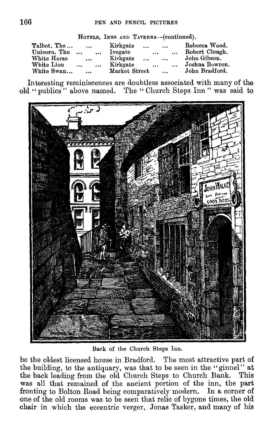|                                                                                                                            | PEN AND PENCIL PICTURES               |  |  |
|----------------------------------------------------------------------------------------------------------------------------|---------------------------------------|--|--|
|                                                                                                                            | HOTELS, INNS AND TAVERNS-(continued). |  |  |
| Talbot, The  Kirkgate   Rebecca Wood.                                                                                      |                                       |  |  |
| Unicorn, The   Ivegate   Robert Clough,<br>White Horse   Kirkgate   John Gibson.<br>White Lion   Kirkgate   Joshua Bowron. |                                       |  |  |
|                                                                                                                            |                                       |  |  |
|                                                                                                                            |                                       |  |  |
| White Swan  Market Street  John Bradford.                                                                                  |                                       |  |  |
| nteresting reminiscences are doubtless associated with many                                                                |                                       |  |  |
| "publics" above named. The "Church Steps Inn" was                                                                          |                                       |  |  |

Interesting reminiscences are doubtless associated with many of the old " publics" above named. The " Church Steps Inn" was said to



Back of the Church Steps Inn.

be the oldest licensed house in Bradford. The most attractive part of the building, to the antiquary, was that to be seen in the "ginnel" at the back leading from the old Church Steps to Church Bank. This was all that remained of the ancient portion of the inn, the part fronting to Bolton Road being comparatively modern. In a corner of one of the old rooms was to be seen that relic of bygone times, the old chair in which the eccentric verger, Jonas Tasker, and many of his